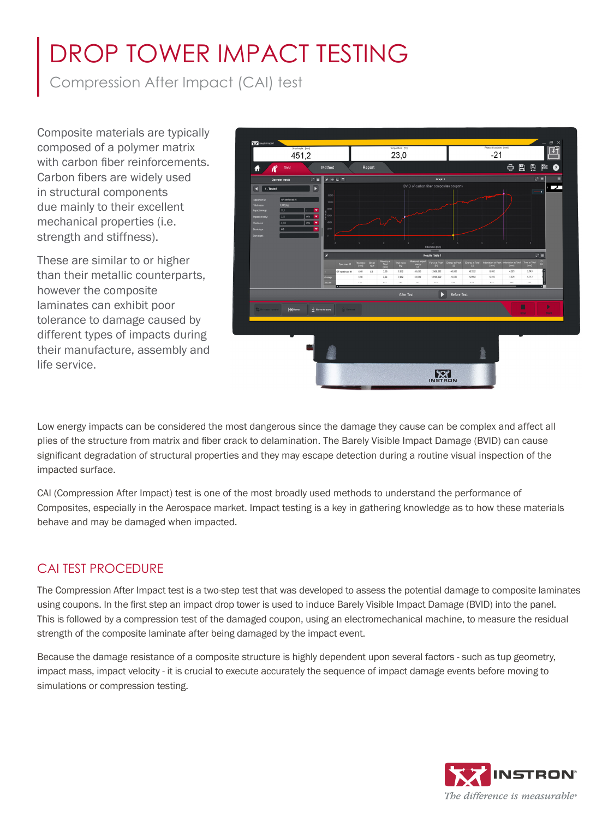# DROP TOWER IMPACT TESTING

Compression After Impact (CAI) test

Composite materials are typically composed of a polymer matrix with carbon fiber reinforcements. Carbon fibers are widely used in structural components due mainly to their excellent mechanical properties (i.e. strength and stiffness).

These are similar to or higher than their metallic counterparts, however the composite laminates can exhibit poor tolerance to damage caused by different types of impacts during their manufacture, assembly and life service.



Low energy impacts can be considered the most dangerous since the damage they cause can be complex and affect all plies of the structure from matrix and fiber crack to delamination. The Barely Visible Impact Damage (BVID) can cause significant degradation of structural properties and they may escape detection during a routine visual inspection of the impacted surface.

CAI (Compression After Impact) test is one of the most broadly used methods to understand the performance of Composites, especially in the Aerospace market. Impact testing is a key in gathering knowledge as to how these materials behave and may be damaged when impacted.

## CAI TEST PROCEDURE

The Compression After Impact test is a two-step test that was developed to assess the potential damage to composite laminates using coupons. In the first step an impact drop tower is used to induce Barely Visible Impact Damage (BVID) into the panel. This is followed by a compression test of the damaged coupon, using an electromechanical machine, to measure the residual strength of the composite laminate after being damaged by the impact event.

Because the damage resistance of a composite structure is highly dependent upon several factors - such as tup geometry, impact mass, impact velocity - it is crucial to execute accurately the sequence of impact damage events before moving to simulations or compression testing.